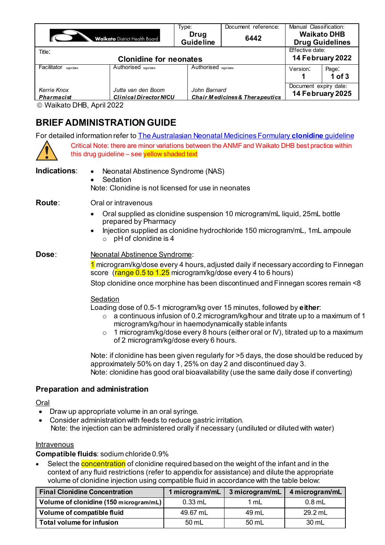|                                  |                                                     | Type:                    | Document reference:                       | Manual Classification:                       |                     |  |
|----------------------------------|-----------------------------------------------------|--------------------------|-------------------------------------------|----------------------------------------------|---------------------|--|
|                                  | <b>Waikato</b> District Health Board                | Drug<br><b>Guideline</b> | 6442                                      | <b>Waikato DHB</b><br><b>Drug Guidelines</b> |                     |  |
| Title:                           |                                                     |                          |                                           | Effective date:                              |                     |  |
|                                  | <b>Clonidine for neonates</b>                       |                          |                                           | 14 February 2022                             |                     |  |
| Facilitator sign/date            | Authorised sign/date                                | Authorised sign/date     |                                           | Version:                                     | Page:<br>$1$ of $3$ |  |
| Kerrie Knox<br><b>Pharmacist</b> | Jutta van den Boom<br><b>Clinical Director NICU</b> | John Barnard             | <b>Chair Medicines &amp; Therapeutics</b> | Document expiry date:<br>14 February 2025    |                     |  |

Waikato DHB, April 2022

# **BRIEF ADMINISTRATION GUIDE**

For detailed information refer t[o The Australasian Neonatal Medicines Formulary](https://www.seslhd.health.nsw.gov.au/sites/default/files/groups/Royal_Hospital_for_Women/Neonatal/Neomed/clonidine2021V2neomed.pdf) **clonidine** guideline

Critical Note: there are minor variations between the ANMF and Waikato DHB best practice within this drug guideline  $-$  see yellow shaded text

**Indications**: • Neonatal Abstinence Syndrome (NAS) **Sedation** Note: Clonidine is not licensed for use in neonates

**Route**: Oral or intravenous

- Oral supplied as clonidine suspension 10 microgram/mL liquid, 25mL bottle prepared by Pharmacy
- Injection supplied as clonidine hydrochloride 150 microgram/mL, 1mL ampoule  $\circ$  pH of clonidine is 4

**Dose: Neonatal Abstinence Syndrome:** 

1 microgram/kg/dose every 4 hours, adjusted daily if necessary according to Finnegan score (range 0.5 to 1.25 microgram/kg/dose every 4 to 6 hours)

Stop clonidine once morphine has been discontinued and Finnegan scores remain <8

## **Sedation**

Loading dose of 0.5-1 microgram/kg over 15 minutes, followed by **either**:

- $\circ$  a continuous infusion of 0.2 microgram/kg/hour and titrate up to a maximum of 1 microgram/kg/hour in haemodynamically stable infants
- $\circ$  1 microgram/kg/dose every 8 hours (either oral or IV), titrated up to a maximum of 2 microgram/kg/dose every 6 hours.

Note: if clonidine has been given regularly for >5 days, the dose should be reduced by approximately 50% on day 1, 25% on day 2 and discontinued day 3. Note: clonidine has good oral bioavailability (use the same daily dose if converting)

## **Preparation and administration**

Oral

- Draw up appropriate volume in an oral syringe.
- Consider administration with feeds to reduce gastric irritation.
- Note: the injection can be administered orally if necessary (undiluted or diluted with water)

#### Intravenous

**Compatible fluids**: sodium chloride 0.9%

Select the **concentration** of clonidine required based on the weight of the infant and in the context of any fluid restrictions (refer to appendix for assistance) and dilute the appropriate volume of clonidine injection using compatible fluid in accordance with the table below:

| <b>Final Clonidine Concentration</b>   | 1 microgram/mL $\vert$ | 3 microgram/mL | 4 microgram/mL |  |
|----------------------------------------|------------------------|----------------|----------------|--|
| Volume of clonidine (150 microgram/mL) | $0.33$ mL              | 1 mL           | $0.8$ mL       |  |
| Volume of compatible fluid             | 49.67 mL               | 49 mL          | $29.2$ mL      |  |
| Total volume for infusion              | 50 mL                  | 50 mL          | 30 mL          |  |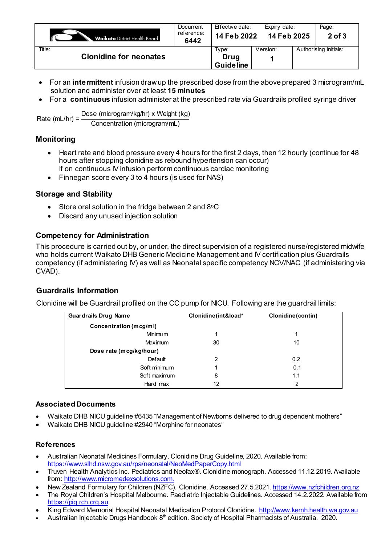| <b>Waikato</b> District Health Board    | Document<br>reference:<br>6442 | Effective date:<br>14 Feb 2022    |          | Expiry date:<br>14 Feb 2025 |                       |
|-----------------------------------------|--------------------------------|-----------------------------------|----------|-----------------------------|-----------------------|
| Title:<br><b>Clonidine for neonates</b> |                                | Type:<br>Drug<br><b>Guideline</b> | Version: |                             | Authorising initials: |

- For an **intermittent** infusion draw up the prescribed dose from the above prepared 3 microgram/mL solution and administer over at least **15 minutes**
- For a **continuous** infusion administer at the prescribed rate via Guardrails profiled syringe driver

Rate  $(mL/hr) = \frac{Dose(microgram/kg/hr)}{2}$  x Weight (kg) Concentration (microgram/mL)

## **Monitoring**

- Heart rate and blood pressure every 4 hours for the first 2 days, then 12 hourly (continue for 48 hours after stopping clonidine as rebound hypertension can occur) If on continuous IV infusion perform continuous cardiac monitoring
- Finnegan score every 3 to 4 hours (is used for NAS)

## **Storage and Stability**

- Store oral solution in the fridge between 2 and  $8^{\circ}$ C
- Discard any unused injection solution

## **Competency for Administration**

This procedure is carried out by, or under, the direct supervision of a registered nurse/registered midwife who holds current Waikato DHB Generic Medicine Management and IV certification plus Guardrails competency (if administering IV) as well as Neonatal specific competency NCV/NAC (if administering via CVAD).

## **Guardrails Information**

Clonidine will be Guardrail profiled on the CC pump for NICU. Following are the guardrail limits:

| <b>Guardrails Drug Name</b> | Clonidine (int&load* | Clonidine (contin) |
|-----------------------------|----------------------|--------------------|
| Concentration (mcg/ml)      |                      |                    |
| <b>Minimum</b>              | 1                    |                    |
| Maximum                     | 30                   | 10                 |
| Dose rate (mcg/kg/hour)     |                      |                    |
| Default                     | 2                    | 0.2                |
| Soft minimum                | 1                    | 0.1                |
| Soft maximum                | 8                    | 1.1                |
| Hard max                    | 12                   | 2                  |

#### **Associated Documents**

- Waikato DHB NICU guideline #6435 "Management of Newborns delivered to drug dependent mothers"
- Waikato DHB NICU guideline #2940 "Morphine for neonates"

#### **References**

- Australian Neonatal Medicines Formulary. Clonidine Drug Guideline, 2020. Available from: <https://www.slhd.nsw.gov.au/rpa/neonatal/NeoMedPaperCopy.html>
- Truven Health Analytics Inc. Pediatrics and Neofax®. Clonidine monograph. Accessed 11.12.2019. Available from[: http://www.micromedexsolutions.com](http://www.micromedexsolutions.com/).
- New Zealand Formulary for Children (NZFC). Clonidine. Accessed 27.5.2021[. https://www.nzfchildren.org.nz](https://www.nzfchildren.org.nz/)
- The Royal Children's Hospital Melbourne. Paediatric Injectable Guidelines. Accessed 14.2.2022. Available from [https://pig.rch.org.au](https://pig.rch.org.au/).
- King Edward Memorial Hospital Neonatal Medication Protocol Clonidine[. http://www.kemh.health.wa.gov.au](http://www.kemh.health.wa.gov.au/)
- Australian Injectable Drugs Handbook  $8<sup>th</sup>$  edition. Society of Hospital Pharmacists of Australia. 2020.